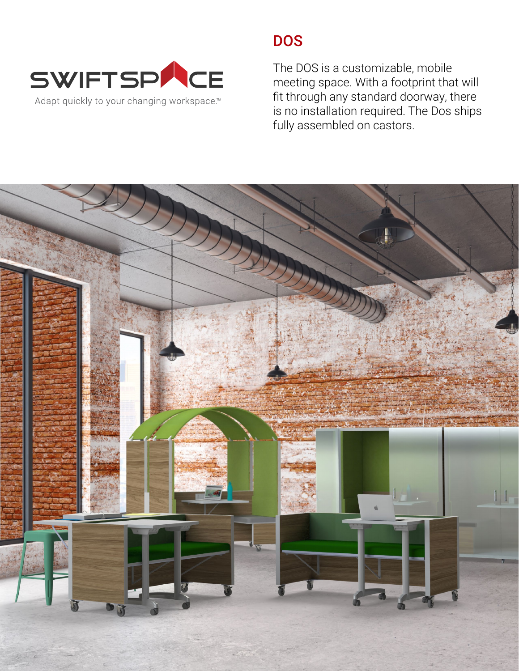

# **DOS**

The DOS is a customizable, mobile meeting space. With a footprint that will fit through any standard doorway, there is no installation required. The Dos ships fully assembled on castors.